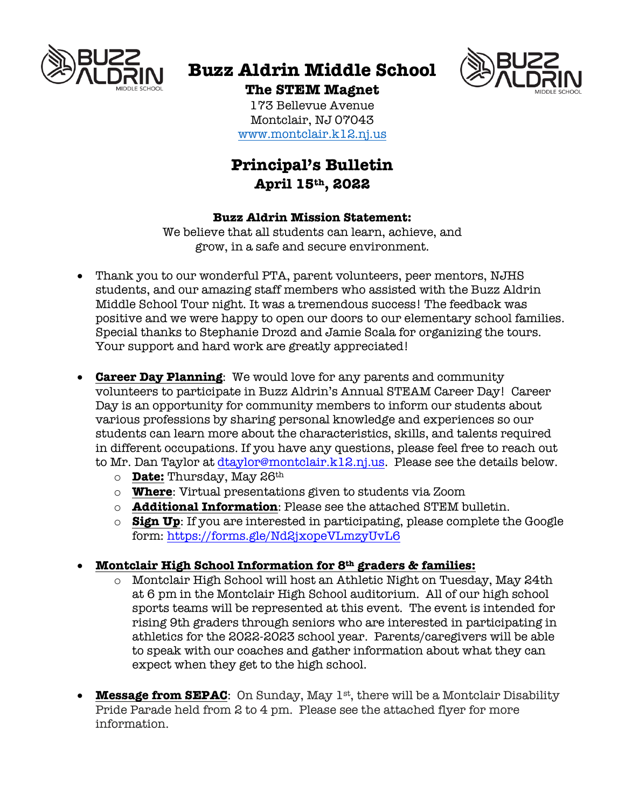

# **Buzz Aldrin Middle School**



**The STEM Magnet** 173 Bellevue Avenue Montclair, NJ 07043 www.montclair.k12.nj.us

# **Principal's Bulletin April 15th, 2022**

#### **Buzz Aldrin Mission Statement:**

We believe that all students can learn, achieve, and grow, in a safe and secure environment.

- Thank you to our wonderful PTA, parent volunteers, peer mentors, NJHS students, and our amazing staff members who assisted with the Buzz Aldrin Middle School Tour night. It was a tremendous success! The feedback was positive and we were happy to open our doors to our elementary school families. Special thanks to Stephanie Drozd and Jamie Scala for organizing the tours. Your support and hard work are greatly appreciated!
- **Career Day Planning**: We would love for any parents and community volunteers to participate in Buzz Aldrin's Annual STEAM Career Day! Career Day is an opportunity for community members to inform our students about various professions by sharing personal knowledge and experiences so our students can learn more about the characteristics, skills, and talents required in different occupations. If you have any questions, please feel free to reach out to Mr. Dan Taylor at dtaylor@montclair.k12.nj.us. Please see the details below.
	- o **Date:** Thursday, May 26th
	- o **Where**: Virtual presentations given to students via Zoom
	- o **Additional Information**: Please see the attached STEM bulletin.
	- o **Sign Up**: If you are interested in participating, please complete the Google form: https://forms.gle/Nd2jxopeVLmzyUvL6

## • **Montclair High School Information for 8th graders & families:**

- o Montclair High School will host an Athletic Night on Tuesday, May 24th at 6 pm in the Montclair High School auditorium. All of our high school sports teams will be represented at this event. The event is intended for rising 9th graders through seniors who are interested in participating in athletics for the 2022-2023 school year. Parents/caregivers will be able to speak with our coaches and gather information about what they can expect when they get to the high school.
- **Message from SEPAC**: On Sunday, May 1<sup>st</sup>, there will be a Montclair Disability Pride Parade held from 2 to 4 pm. Please see the attached flyer for more information.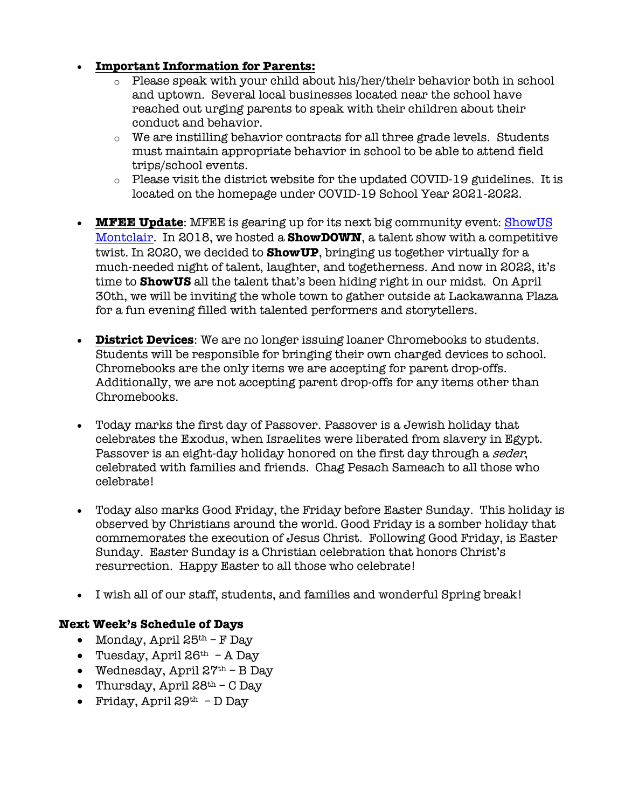## • **Important Information for Parents:**

- o Please speak with your child about his/her/their behavior both in school and uptown. Several local businesses located near the school have reached out urging parents to speak with their children about their conduct and behavior.
- $\circ$  We are instilling behavior contracts for all three grade levels. Students must maintain appropriate behavior in school to be able to attend field trips/school events.
- $\circ$  Please visit the district website for the updated COVID-19 guidelines. It is located on the homepage under COVID-19 School Year 2021-2022.
- **MFEE Update**: MFEE is gearing up for its next big community event: ShowUS Montclair. In 2018, we hosted a **ShowDOWN**, a talent show with a competitive twist. In 2020, we decided to **ShowUP**, bringing us together virtually for a much-needed night of talent, laughter, and togetherness. And now in 2022, it's time to **ShowUS** all the talent that's been hiding right in our midst. On April 30th, we will be inviting the whole town to gather outside at Lackawanna Plaza for a fun evening filled with talented performers and storytellers.
- **District Devices**: We are no longer issuing loaner Chromebooks to students. Students will be responsible for bringing their own charged devices to school. Chromebooks are the only items we are accepting for parent drop-offs. Additionally, we are not accepting parent drop-offs for any items other than Chromebooks.
- Today marks the first day of Passover. Passover is a Jewish holiday that celebrates the Exodus, when Israelites were liberated from slavery in Egypt. Passover is an eight-day holiday honored on the first day through a seder, celebrated with families and friends. Chag Pesach Sameach to all those who celebrate!
- Today also marks Good Friday, the Friday before Easter Sunday. This holiday is observed by Christians around the world. Good Friday is a somber holiday that commemorates the execution of Jesus Christ. Following Good Friday, is Easter Sunday. Easter Sunday is a Christian celebration that honors Christ's resurrection. Happy Easter to all those who celebrate!
- I wish all of our staff, students, and families and wonderful Spring break!

#### **Next Week's Schedule of Days**

- Monday, April  $25<sup>th</sup> F$  Day
- Tuesday, April  $26^{th}$  A Day
- Wednesday, April  $27<sup>th</sup>$  B Day
- Thursday, April  $28<sup>th</sup>$  C Day
- Friday, April  $29<sup>th</sup>$  D Day